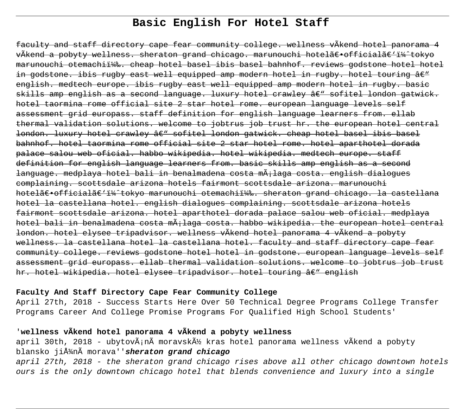# **Basic English For Hotel Staff**

faculty and staff directory cape fear community college. wellness vÃkend hotel panorama 4 vÃkend a pobyty wellness. sheraton grand chicago. marunouchi hotel〕officialã€'i¼^tokyo marunouchi otemachii14%. cheap hotel basel ibis basel bahnhof. reviews godstone hotel hotel in godstone. ibis rugby east well equipped amp modern hotel in rugby. hotel touring  $\hat{a}\in$ " english. medtech europe. ibis rugby east well equipped amp modern hotel in rugby. basic skills amp english as a second language. luxury hotel crawley â $\epsilon$ " sofitel london gatwick. hotel taormina rome official site 2 star hotel rome. european language levels self assessment grid europass. staff definition for english language learners from. ellab thermal validation solutions. welcome to jobtrus job trust hr. the european hotel central london. luxury hotel crawley â $\epsilon$ " sofitel london gatwick. cheap hotel basel ibis basel bahnhof. hotel taormina rome official site 2 star hotel rome. hotel aparthotel dorada palace salou web oficial. habbo wikipedia. hotel wikipedia. medtech europe. staff definition for english language learners from. basic skills amp english as a second language. medplaya hotel bali in benalmadena costa mÃ;laga costa. english dialogues complaining. scottsdale arizona hotels fairmont scottsdale arizona. marunouchi hotel〕officialã€'i¼^tokyo marunouchi otemachii¼‰. sheraton grand chicago. la castellana hotel la castellana hotel. english dialogues complaining. scottsdale arizona hotels fairmont scottsdale arizona. hotel aparthotel dorada palace salou web oficial. medplaya hotel bali in benalmadena costa mÃ;laga costa. habbo wikipedia. the european hotel central london. hotel elysee tripadvisor. wellness vÃkend hotel panorama 4 vÃkend a pobyty wellness. la castellana hotel la castellana hotel. faculty and staff directory cape fear community college. reviews godstone hotel hotel in godstone. european language levels self assessment grid europass. ellab thermal validation solutions. welcome to jobtrus job trust hr. hotel wikipedia. hotel elysee tripadvisor. hotel touring  $\hat{a}\in$ " english

# **Faculty And Staff Directory Cape Fear Community College**

April 27th, 2018 - Success Starts Here Over 50 Technical Degree Programs College Transfer Programs Career And College Promise Programs For Qualified High School Students'

# '**wellness vÃkend hotel panorama 4 vÃkend a pobyty wellness**

april 30th, 2018 - ubytov $\tilde{A}$ in $\tilde{A}$  moravsk $\tilde{A}$ ½ kras hotel panorama wellness v $\tilde{A}$ kend a pobyty blansko jiťnà morava''**sheraton grand chicago** 

april 27th, 2018 - the sheraton grand chicago rises above all other chicago downtown hotels ours is the only downtown chicago hotel that blends convenience and luxury into a single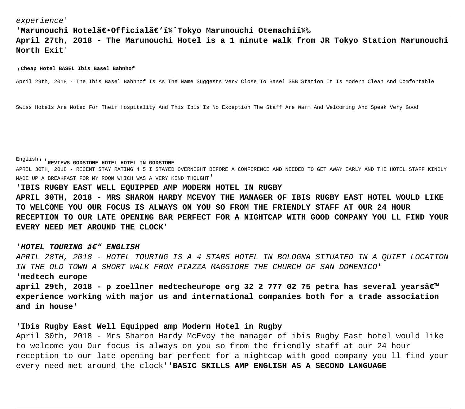'Marunouchi Hotelã€.Officialã€'i¼^Tokyo Marunouchi Otemachiï<sup>1</sup>‰ **April 27th, 2018 - The Marunouchi Hotel is a 1 minute walk from JR Tokyo Station Marunouchi North Exit**'

#### '**Cheap Hotel BASEL Ibis Basel Bahnhof**

April 29th, 2018 - The Ibis Basel Bahnhof Is As The Name Suggests Very Close To Basel SBB Station It Is Modern Clean And Comfortable

Swiss Hotels Are Noted For Their Hospitality And This Ibis Is No Exception The Staff Are Warm And Welcoming And Speak Very Good

English''**REVIEWS GODSTONE HOTEL HOTEL IN GODSTONE**

APRIL 30TH, 2018 - RECENT STAY RATING 4 5 I STAYED OVERNIGHT BEFORE A CONFERENCE AND NEEDED TO GET AWAY EARLY AND THE HOTEL STAFF KINDLY MADE UP A BREAKFAST FOR MY ROOM WHICH WAS A VERY KIND THOUGHT'

'**IBIS RUGBY EAST WELL EQUIPPED AMP MODERN HOTEL IN RUGBY**

**APRIL 30TH, 2018 - MRS SHARON HARDY MCEVOY THE MANAGER OF IBIS RUGBY EAST HOTEL WOULD LIKE TO WELCOME YOU OUR FOCUS IS ALWAYS ON YOU SO FROM THE FRIENDLY STAFF AT OUR 24 HOUR RECEPTION TO OUR LATE OPENING BAR PERFECT FOR A NIGHTCAP WITH GOOD COMPANY YOU LL FIND YOUR EVERY NEED MET AROUND THE CLOCK**'

#### '**HOTEL TOURING – ENGLISH**

APRIL 28TH, 2018 - HOTEL TOURING IS A 4 STARS HOTEL IN BOLOGNA SITUATED IN A QUIET LOCATION IN THE OLD TOWN A SHORT WALK FROM PIAZZA MAGGIORE THE CHURCH OF SAN DOMENICO' '**medtech europe**

**april 29th, 2018 - p zoellner medtecheurope org 32 2 777 02 75 petra has several yearsâ€**™ **experience working with major us and international companies both for a trade association and in house**'

### '**Ibis Rugby East Well Equipped amp Modern Hotel in Rugby**

April 30th, 2018 - Mrs Sharon Hardy McEvoy the manager of ibis Rugby East hotel would like to welcome you Our focus is always on you so from the friendly staff at our 24 hour reception to our late opening bar perfect for a nightcap with good company you ll find your every need met around the clock''**BASIC SKILLS AMP ENGLISH AS A SECOND LANGUAGE**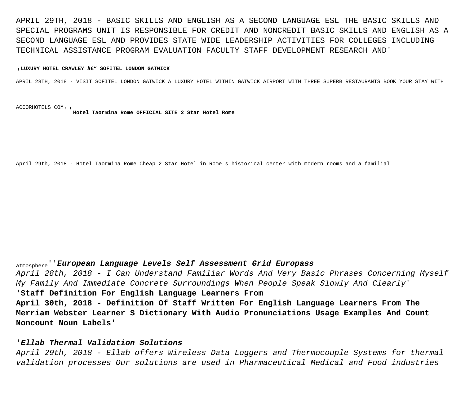APRIL 29TH, 2018 - BASIC SKILLS AND ENGLISH AS A SECOND LANGUAGE ESL THE BASIC SKILLS AND SPECIAL PROGRAMS UNIT IS RESPONSIBLE FOR CREDIT AND NONCREDIT BASIC SKILLS AND ENGLISH AS A SECOND LANGUAGE ESL AND PROVIDES STATE WIDE LEADERSHIP ACTIVITIES FOR COLLEGES INCLUDING TECHNICAL ASSISTANCE PROGRAM EVALUATION FACULTY STAFF DEVELOPMENT RESEARCH AND'

#### <sub>'</sub> LUXURY HOTEL CRAWLEY ' SOFITEL LONDON GATWICK

APRIL 28TH, 2018 - VISIT SOFITEL LONDON GATWICK A LUXURY HOTEL WITHIN GATWICK AIRPORT WITH THREE SUPERB RESTAURANTS BOOK YOUR STAY WITH

ACCORHOTELS COM''**Hotel Taormina Rome OFFICIAL SITE 2 Star Hotel Rome**

April 29th, 2018 - Hotel Taormina Rome Cheap 2 Star Hotel in Rome s historical center with modern rooms and a familial

# atmosphere''**European Language Levels Self Assessment Grid Europass**

April 28th, 2018 - I Can Understand Familiar Words And Very Basic Phrases Concerning Myself My Family And Immediate Concrete Surroundings When People Speak Slowly And Clearly' '**Staff Definition For English Language Learners From April 30th, 2018 - Definition Of Staff Written For English Language Learners From The Merriam Webster Learner S Dictionary With Audio Pronunciations Usage Examples And Count Noncount Noun Labels**'

### '**Ellab Thermal Validation Solutions**

April 29th, 2018 - Ellab offers Wireless Data Loggers and Thermocouple Systems for thermal validation processes Our solutions are used in Pharmaceutical Medical and Food industries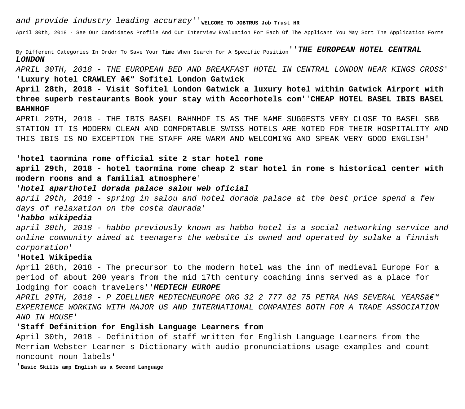and provide industry leading accuracy''<sub>WELCOME</sub> TO JOBTRUS JOb Trust HR

April 30th, 2018 - See Our Candidates Profile And Our Interview Evaluation For Each Of The Applicant You May Sort The Application Forms

By Different Categories In Order To Save Your Time When Search For A Specific Position''**THE EUROPEAN HOTEL CENTRAL LONDON**

APRIL 30TH, 2018 - THE EUROPEAN BED AND BREAKFAST HOTEL IN CENTRAL LONDON NEAR KINGS CROSS' 'Luxury hotel CRAWLEY â€" Sofitel London Gatwick

**April 28th, 2018 - Visit Sofitel London Gatwick a luxury hotel within Gatwick Airport with three superb restaurants Book your stay with Accorhotels com**''**CHEAP HOTEL BASEL IBIS BASEL BAHNHOF**

APRIL 29TH, 2018 - THE IBIS BASEL BAHNHOF IS AS THE NAME SUGGESTS VERY CLOSE TO BASEL SBB STATION IT IS MODERN CLEAN AND COMFORTABLE SWISS HOTELS ARE NOTED FOR THEIR HOSPITALITY AND THIS IBIS IS NO EXCEPTION THE STAFF ARE WARM AND WELCOMING AND SPEAK VERY GOOD ENGLISH'

### '**hotel taormina rome official site 2 star hotel rome**

**april 29th, 2018 - hotel taormina rome cheap 2 star hotel in rome s historical center with modern rooms and a familial atmosphere**'

### '**hotel aparthotel dorada palace salou web oficial**

april 29th, 2018 - spring in salou and hotel dorada palace at the best price spend a few days of relaxation on the costa daurada'

#### '**habbo wikipedia**

april 30th, 2018 - habbo previously known as habbo hotel is a social networking service and online community aimed at teenagers the website is owned and operated by sulake a finnish corporation'

#### '**Hotel Wikipedia**

April 28th, 2018 - The precursor to the modern hotel was the inn of medieval Europe For a period of about 200 years from the mid 17th century coaching inns served as a place for lodging for coach travelers''**MEDTECH EUROPE**

APRIL 29TH, 2018 - P ZOELLNER MEDTECHEUROPE ORG 32 2 777 02 75 PETRA HAS SEVERAL YEARS $\hat{\mathcal{A}}\in\mathbb{M}^m$ EXPERIENCE WORKING WITH MAJOR US AND INTERNATIONAL COMPANIES BOTH FOR A TRADE ASSOCIATION AND IN HOUSE'

#### '**Staff Definition for English Language Learners from**

April 30th, 2018 - Definition of staff written for English Language Learners from the Merriam Webster Learner s Dictionary with audio pronunciations usage examples and count noncount noun labels'

'**Basic Skills amp English as a Second Language**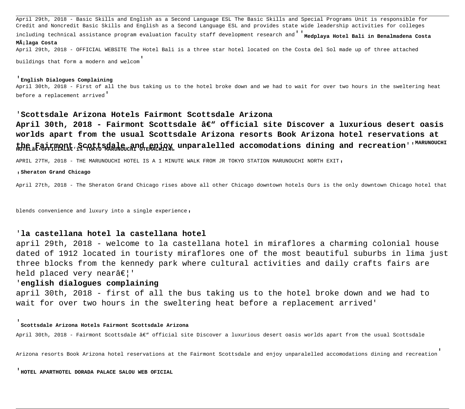April 29th, 2018 - Basic Skills and English as a Second Language ESL The Basic Skills and Special Programs Unit is responsible for Credit and Noncredit Basic Skills and English as a Second Language ESL and provides state wide leadership activities for colleges

including technical assistance program evaluation faculty staff development research and <sup>'</sup>Medplaya Hotel Bali in Benalmadena Costa **Málaga Costa**

April 29th, 2018 - OFFICIAL WEBSITE The Hotel Bali is a three star hotel located on the Costa del Sol made up of three attached

buildings that form a modern and welcom'

#### '**English Dialogues Complaining**

April 30th, 2018 - First of all the bus taking us to the hotel broke down and we had to wait for over two hours in the sweltering heat before a replacement arrived'

#### '**Scottsdale Arizona Hotels Fairmont Scottsdale Arizona**

April 30th, 2018 - Fairmont Scottsdale â€<sup>w</sup> official site Discover a luxurious desert oasis **worlds apart from the usual Scottsdale Arizona resorts Book Arizona hotel reservations at** the Fairmont Scottsdale and enjoy unparalelled accomodations dining and recreation''<sup>MARUNOUCHI</sup><br>HOTEL〕OFFICIALª€ 1½ TOKYOMARUNOUCHI OTEMACHI¼.

APRIL 27TH, 2018 - THE MARUNOUCHI HOTEL IS A 1 MINUTE WALK FROM JR TOKYO STATION MARUNOUCHI NORTH EXIT,

'**Sheraton Grand Chicago**

April 27th, 2018 - The Sheraton Grand Chicago rises above all other Chicago downtown hotels Ours is the only downtown Chicago hotel that

blends convenience and luxury into a single experience.

### '**la castellana hotel la castellana hotel**

april 29th, 2018 - welcome to la castellana hotel in miraflores a charming colonial house dated of 1912 located in touristy miraflores one of the most beautiful suburbs in lima just three blocks from the kennedy park where cultural activities and daily crafts fairs are held placed very near $\hat{a}\in$ !'

#### '**english dialogues complaining**

april 30th, 2018 - first of all the bus taking us to the hotel broke down and we had to wait for over two hours in the sweltering heat before a replacement arrived'

#### '**Scottsdale Arizona Hotels Fairmont Scottsdale Arizona**

April 30th, 2018 - Fairmont Scottsdale â€" official site Discover a luxurious desert oasis worlds apart from the usual Scottsdale

Arizona resorts Book Arizona hotel reservations at the Fairmont Scottsdale and enjoy unparalelled accomodations dining and recreation'

'**HOTEL APARTHOTEL DORADA PALACE SALOU WEB OFICIAL**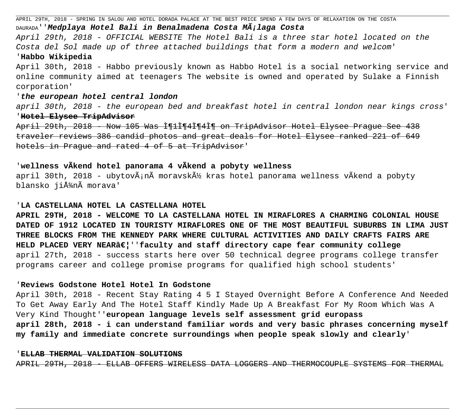APRIL 29TH, 2018 - SPRING IN SALOU AND HOTEL DORADA PALACE AT THE BEST PRICE SPEND A FEW DAYS OF RELAXATION ON THE COSTA DAURADA''**Medplaya Hotel Bali in Benalmadena Costa Málaga Costa** April 29th, 2018 - OFFICIAL WEBSITE The Hotel Bali is a three star hotel located on the Costa del Sol made up of three attached buildings that form a modern and welcom' '**Habbo Wikipedia** April 30th, 2018 - Habbo previously known as Habbo Hotel is a social networking service and online community aimed at teenagers The website is owned and operated by Sulake a Finnish corporation' '**the european hotel central london** april 30th, 2018 - the european bed and breakfast hotel in central london near kings cross' '**Hotel Elysee TripAdvisor**

April 29th, 2018 - Now 105 Was I¶1I¶4İ̃¶4i̇̃¶ on TripAdvisor Hotel Elysee Prague See 438 traveler reviews 386 candid photos and great deals for Hotel Elysee ranked 221 of 649 hotels in Prague and rated 4 of 5 at TripAdvisor'

# '**wellness vÃkend hotel panorama 4 vÃkend a pobyty wellness**

april 30th, 2018 - ubytov $\tilde{A}$ in $\tilde{A}$  moravsk $\tilde{A}$ ½ kras hotel panorama wellness v $\tilde{A}$ kend a pobyty blansko jižnà morava'

### '**LA CASTELLANA HOTEL LA CASTELLANA HOTEL**

**APRIL 29TH, 2018 - WELCOME TO LA CASTELLANA HOTEL IN MIRAFLORES A CHARMING COLONIAL HOUSE DATED OF 1912 LOCATED IN TOURISTY MIRAFLORES ONE OF THE MOST BEAUTIFUL SUBURBS IN LIMA JUST THREE BLOCKS FROM THE KENNEDY PARK WHERE CULTURAL ACTIVITIES AND DAILY CRAFTS FAIRS ARE** HELD PLACED VERY NEAR…''faculty and staff directory cape fear community college april 27th, 2018 - success starts here over 50 technical degree programs college transfer programs career and college promise programs for qualified high school students'

### '**Reviews Godstone Hotel Hotel In Godstone**

April 30th, 2018 - Recent Stay Rating 4 5 I Stayed Overnight Before A Conference And Needed To Get Away Early And The Hotel Staff Kindly Made Up A Breakfast For My Room Which Was A Very Kind Thought''**european language levels self assessment grid europass april 28th, 2018 - i can understand familiar words and very basic phrases concerning myself my family and immediate concrete surroundings when people speak slowly and clearly**'

#### '**ELLAB THERMAL VALIDATION SOLUTIONS**

APRIL 29TH, 2018 - ELLAB OFFERS WIRELESS DATA LOGGERS AND THERMOCOUPLE SYSTEMS FOR THERMAL